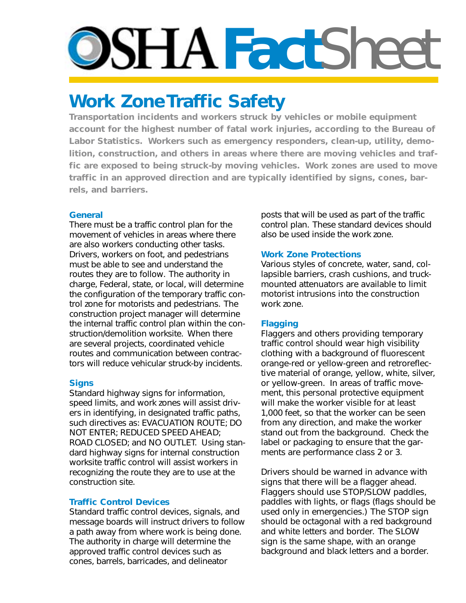# **DSHAFact**Shee

# **Work Zone Traffic Safety**

**Transportation incidents and workers struck by vehicles or mobile equipment account for the highest number of fatal work injuries, according to the Bureau of Labor Statistics. Workers such as emergency responders, clean-up, utility, demolition, construction, and others in areas where there are moving vehicles and traffic are exposed to being struck-by moving vehicles. Work zones are used to move traffic in an approved direction and are typically identified by signs, cones, barrels, and barriers.** 

#### **General**

There must be a traffic control plan for the movement of vehicles in areas where there are also workers conducting other tasks. Drivers, workers on foot, and pedestrians must be able to see and understand the routes they are to follow. The authority in charge, Federal, state, or local, will determine the configuration of the temporary traffic control zone for motorists and pedestrians. The construction project manager will determine the internal traffic control plan within the construction/demolition worksite. When there are several projects, coordinated vehicle routes and communication between contractors will reduce vehicular struck-by incidents.

# **Signs**

Standard highway signs for information, speed limits, and work zones will assist drivers in identifying, in designated traffic paths, such directives as: EVACUATION ROUTE; DO NOT ENTER; REDUCED SPEED AHEAD; ROAD CLOSED; and NO OUTLET. Using standard highway signs for internal construction worksite traffic control will assist workers in recognizing the route they are to use at the construction site.

# **Traffic Control Devices**

Standard traffic control devices, signals, and message boards will instruct drivers to follow a path away from where work is being done. The authority in charge will determine the approved traffic control devices such as cones, barrels, barricades, and delineator

posts that will be used as part of the traffic control plan. These standard devices should also be used inside the work zone.

# **Work Zone Protections**

Various styles of concrete, water, sand, collapsible barriers, crash cushions, and truckmounted attenuators are available to limit motorist intrusions into the construction work zone.

# **Flagging**

Flaggers and others providing temporary traffic control should wear high visibility clothing with a background of fluorescent orange-red or yellow-green and retroreflective material of orange, yellow, white, silver, or yellow-green. In areas of traffic movement, this personal protective equipment will make the worker visible for at least 1,000 feet, so that the worker can be seen from any direction, and make the worker stand out from the background. Check the label or packaging to ensure that the garments are performance class 2 or 3.

Drivers should be warned in advance with signs that there will be a flagger ahead. Flaggers should use STOP/SLOW paddles, paddles with lights, or flags (flags should be used only in emergencies.) The STOP sign should be octagonal with a red background and white letters and border. The SLOW sign is the same shape, with an orange background and black letters and a border.